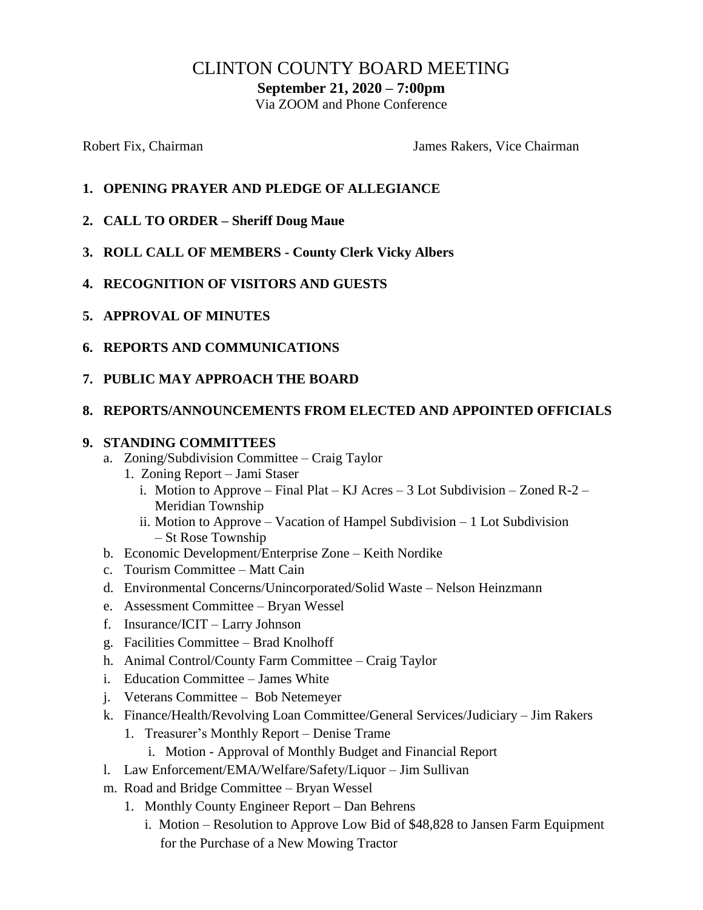# CLINTON COUNTY BOARD MEETING

**September 21, 2020 – 7:00pm**

Via ZOOM and Phone Conference

Robert Fix, Chairman The Chairman James Rakers, Vice Chairman

- **1. OPENING PRAYER AND PLEDGE OF ALLEGIANCE**
- **2. CALL TO ORDER – Sheriff Doug Maue**
- **3. ROLL CALL OF MEMBERS - County Clerk Vicky Albers**
- **4. RECOGNITION OF VISITORS AND GUESTS**
- **5. APPROVAL OF MINUTES**
- **6. REPORTS AND COMMUNICATIONS**
- **7. PUBLIC MAY APPROACH THE BOARD**

#### **8. REPORTS/ANNOUNCEMENTS FROM ELECTED AND APPOINTED OFFICIALS**

#### **9. STANDING COMMITTEES**

- a. Zoning/Subdivision Committee Craig Taylor
	- 1. Zoning Report Jami Staser
		- i. Motion to Approve Final Plat KJ Acres 3 Lot Subdivision Zoned R-2 Meridian Township
		- ii. Motion to Approve Vacation of Hampel Subdivision 1 Lot Subdivision – St Rose Township
- b. Economic Development/Enterprise Zone Keith Nordike
- c. Tourism Committee Matt Cain
- d. Environmental Concerns/Unincorporated/Solid Waste Nelson Heinzmann
- e. Assessment Committee Bryan Wessel
- f. Insurance/ICIT Larry Johnson
- g. Facilities Committee Brad Knolhoff
- h. Animal Control/County Farm Committee Craig Taylor
- i. Education Committee James White
- j. Veterans Committee Bob Netemeyer
- k. Finance/Health/Revolving Loan Committee/General Services/Judiciary Jim Rakers
	- 1. Treasurer's Monthly Report Denise Trame
		- i. Motion Approval of Monthly Budget and Financial Report
- l. Law Enforcement/EMA/Welfare/Safety/Liquor Jim Sullivan
- m. Road and Bridge Committee Bryan Wessel
	- 1. Monthly County Engineer Report Dan Behrens
		- i. Motion Resolution to Approve Low Bid of  $$48,828$  to Jansen Farm Equipment for the Purchase of a New Mowing Tractor